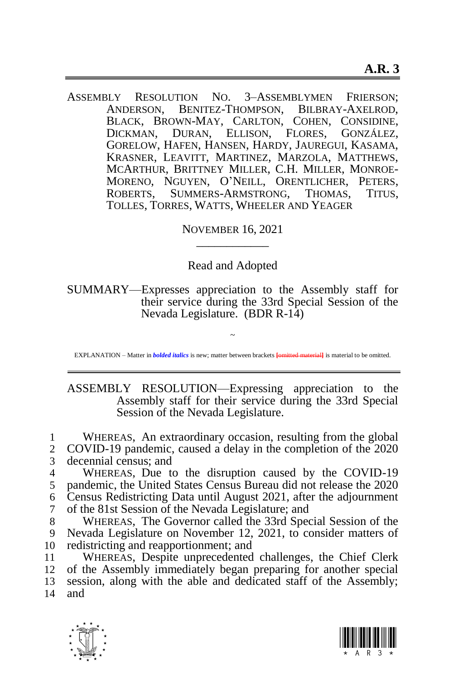ASSEMBLY RESOLUTION NO. 3–ASSEMBLYMEN FRIERSON; ANDERSON, BENITEZ-THOMPSON, BILBRAY-AXELROD, BLACK, BROWN-MAY, CARLTON, COHEN, CONSIDINE, DICKMAN, DURAN, ELLISON, FLORES, GONZÁLEZ, GORELOW, HAFEN, HANSEN, HARDY, JAUREGUI, KASAMA, KRASNER, LEAVITT, MARTINEZ, MARZOLA, MATTHEWS, MCARTHUR, BRITTNEY MILLER, C.H. MILLER, MONROE-MORENO, NGUYEN, O'NEILL, ORENTLICHER, PETERS, ROBERTS, SUMMERS-ARMSTRONG, THOMAS, TITUS, TOLLES, TORRES, WATTS, WHEELER AND YEAGER

> NOVEMBER 16, 2021 \_\_\_\_\_\_\_\_\_\_\_\_

Read and Adopted

SUMMARY—Expresses appreciation to the Assembly staff for their service during the 33rd Special Session of the Nevada Legislature. (BDR R-14)

~ EXPLANATION – Matter in *bolded italics* is new; matter between brackets **[omitted material]** is material to be omitted.

ASSEMBLY RESOLUTION—Expressing appreciation to the Assembly staff for their service during the 33rd Special Session of the Nevada Legislature.

1 WHEREAS, An extraordinary occasion, resulting from the global 2 COVID-19 pandemic caused a delay in the completion of the 2020 2 COVID-19 pandemic, caused a delay in the completion of the 2020 3 decennial census; and

 WHEREAS, Due to the disruption caused by the COVID-19 pandemic, the United States Census Bureau did not release the 2020 Census Redistricting Data until August 2021, after the adjournment of the 81st Session of the Nevada Legislature; and

8 WHEREAS, The Governor called the 33rd Special Session of the 9 Nevada Legislature on November 12, 2021, to consider matters of 10 redistricting and reapportionment; and

 WHEREAS, Despite unprecedented challenges, the Chief Clerk of the Assembly immediately began preparing for another special session, along with the able and dedicated staff of the Assembly; 14 and